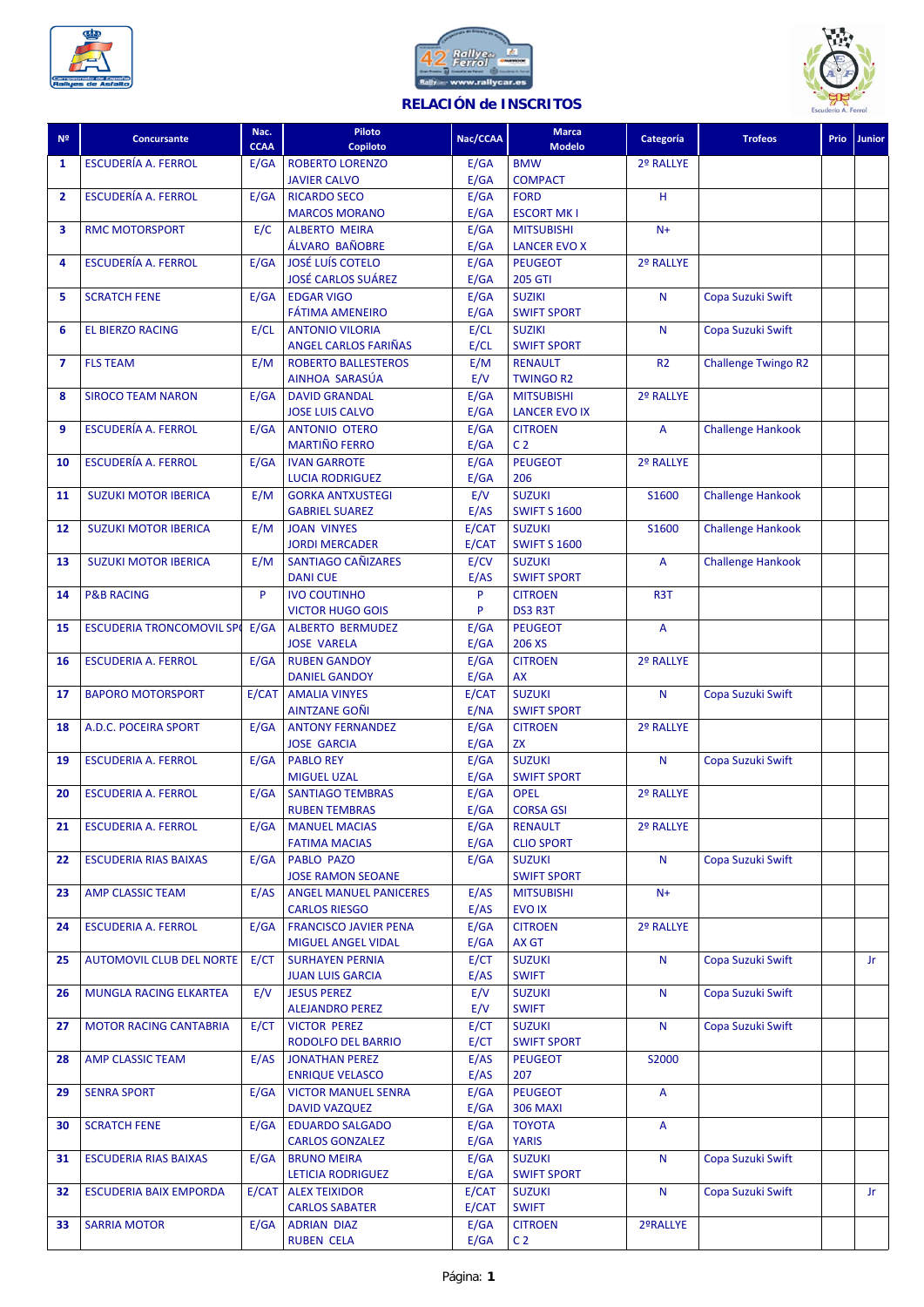





## **RELACIÓN de INSCRITOS**

| N <sup>2</sup> | <b>Concursante</b>              | Nac.        | Piloto                                             | Nac/CCAA     | <b>Marca</b>                         | Categoría      | <b>Trofeos</b>             | <b>Prio</b> | <b>Junior</b> |
|----------------|---------------------------------|-------------|----------------------------------------------------|--------------|--------------------------------------|----------------|----------------------------|-------------|---------------|
|                |                                 | <b>CCAA</b> | Copiloto                                           |              | <b>Modelo</b>                        |                |                            |             |               |
| 1              | <b>ESCUDERÍA A. FERROL</b>      | E/GA        | <b>ROBERTO LORENZO</b><br><b>JAVIER CALVO</b>      | E/GA<br>E/GA | <b>BMW</b><br><b>COMPACT</b>         | 2º RALLYE      |                            |             |               |
| $\overline{2}$ | <b>ESCUDERÍA A. FERROL</b>      | E/GA        | <b>RICARDO SECO</b>                                | E/GA         | <b>FORD</b>                          | H              |                            |             |               |
|                |                                 |             | <b>MARCOS MORANO</b>                               | E/GA         | <b>ESCORT MK I</b>                   |                |                            |             |               |
| 3              | <b>RMC MOTORSPORT</b>           | E/C         | <b>ALBERTO MEIRA</b>                               | E/GA         | <b>MITSUBISHI</b>                    | $N+$           |                            |             |               |
|                |                                 |             | ÁLVARO BAÑOBRE                                     | E/GA         | <b>LANCER EVO X</b>                  |                |                            |             |               |
| 4              | <b>ESCUDERÍA A. FERROL</b>      | E/GA        | <b>JOSÉ LUÍS COTELO</b>                            | E/GA         | <b>PEUGEOT</b>                       | 2º RALLYE      |                            |             |               |
|                |                                 |             | <b>JOSÉ CARLOS SUÁREZ</b>                          | E/GA         | <b>205 GTI</b>                       |                |                            |             |               |
| 5              | <b>SCRATCH FENE</b>             | E/GA        | <b>EDGAR VIGO</b><br><b>FÁTIMA AMENEIRO</b>        | E/GA         | <b>SUZIKI</b>                        | $\mathsf{N}$   | Copa Suzuki Swift          |             |               |
| 6              | <b>EL BIERZO RACING</b>         | E/CL        | <b>ANTONIO VILORIA</b>                             | E/GA<br>E/CL | <b>SWIFT SPORT</b><br><b>SUZIKI</b>  | N              | Copa Suzuki Swift          |             |               |
|                |                                 |             | <b>ANGEL CARLOS FARIÑAS</b>                        | E/CL         | <b>SWIFT SPORT</b>                   |                |                            |             |               |
| $\overline{7}$ | <b>FLS TEAM</b>                 | E/M         | <b>ROBERTO BALLESTEROS</b>                         | E/M          | <b>RENAULT</b>                       | R <sub>2</sub> | <b>Challenge Twingo R2</b> |             |               |
|                |                                 |             | AINHOA SARASÚA                                     | E/V          | <b>TWINGO R2</b>                     |                |                            |             |               |
| 8              | <b>SIROCO TEAM NARON</b>        | E/GA        | <b>DAVID GRANDAL</b>                               | E/GA         | <b>MITSUBISHI</b>                    | 2º RALLYE      |                            |             |               |
|                |                                 |             | <b>JOSE LUIS CALVO</b>                             | E/GA         | <b>LANCER EVO IX</b>                 |                |                            |             |               |
| 9              | <b>ESCUDERÍA A. FERROL</b>      | E/GA        | <b>ANTONIO OTERO</b><br><b>MARTIÑO FERRO</b>       | E/GA         | <b>CITROEN</b>                       | A              | <b>Challenge Hankook</b>   |             |               |
| 10             | <b>ESCUDERÍA A. FERROL</b>      | E/GA        | <b>IVAN GARROTE</b>                                | E/GA<br>E/GA | C <sub>2</sub><br><b>PEUGEOT</b>     | 2º RALLYE      |                            |             |               |
|                |                                 |             | <b>LUCIA RODRIGUEZ</b>                             | E/GA         | 206                                  |                |                            |             |               |
| 11             | <b>SUZUKI MOTOR IBERICA</b>     | E/M         | <b>GORKA ANTXUSTEGI</b>                            | E/V          | <b>SUZUKI</b>                        | S1600          | <b>Challenge Hankook</b>   |             |               |
|                |                                 |             | <b>GABRIEL SUAREZ</b>                              | E/AS         | <b>SWIFT S 1600</b>                  |                |                            |             |               |
| 12             | <b>SUZUKI MOTOR IBERICA</b>     | E/M         | <b>JOAN VINYES</b>                                 | E/CAT        | <b>SUZUKI</b>                        | S1600          | <b>Challenge Hankook</b>   |             |               |
|                |                                 |             | <b>JORDI MERCADER</b>                              | E/CAT        | <b>SWIFT S 1600</b>                  |                |                            |             |               |
| 13             | <b>SUZUKI MOTOR IBERICA</b>     | E/M         | <b>SANTIAGO CAÑIZARES</b>                          | E/CV         | <b>SUZUKI</b>                        | A              | <b>Challenge Hankook</b>   |             |               |
|                | <b>P&amp;B RACING</b>           | P           | <b>DANI CUE</b><br><b>IVO COUTINHO</b>             | E/AS<br>P    | <b>SWIFT SPORT</b>                   | R3T            |                            |             |               |
| 14             |                                 |             | <b>VICTOR HUGO GOIS</b>                            | P            | <b>CITROEN</b><br>DS3 R3T            |                |                            |             |               |
| 15             | <b>ESCUDERIA TRONCOMOVIL SP</b> | E/GA        | <b>ALBERTO BERMUDEZ</b>                            | E/GA         | <b>PEUGEOT</b>                       | $\overline{A}$ |                            |             |               |
|                |                                 |             | <b>JOSE VARELA</b>                                 | E/GA         | 206 XS                               |                |                            |             |               |
| 16             | <b>ESCUDERIA A. FERROL</b>      | E/GA        | <b>RUBEN GANDOY</b>                                | E/GA         | <b>CITROEN</b>                       | 2º RALLYE      |                            |             |               |
|                |                                 |             | <b>DANIEL GANDOY</b>                               | E/GA         | AX                                   |                |                            |             |               |
| 17             | <b>BAPORO MOTORSPORT</b>        | E/CAT       | <b>AMALIA VINYES</b>                               | E/CAT        | <b>SUZUKI</b>                        | N              | Copa Suzuki Swift          |             |               |
| 18             | A.D.C. POCEIRA SPORT            | E/GA        | <b>AINTZANE GOÑI</b><br><b>ANTONY FERNANDEZ</b>    | E/NA<br>E/GA | <b>SWIFT SPORT</b><br><b>CITROEN</b> | 2º RALLYE      |                            |             |               |
|                |                                 |             | <b>JOSE GARCIA</b>                                 | E/GA         | <b>ZX</b>                            |                |                            |             |               |
| 19             | <b>ESCUDERIA A. FERROL</b>      | E/GA        | <b>PABLO REY</b>                                   | E/GA         | <b>SUZUKI</b>                        | N              | Copa Suzuki Swift          |             |               |
|                |                                 |             | <b>MIGUEL UZAL</b>                                 | E/GA         | <b>SWIFT SPORT</b>                   |                |                            |             |               |
| 20             | <b>ESCUDERIA A. FERROL</b>      | E/GA        | <b>SANTIAGO TEMBRAS</b>                            | E/GA         | <b>OPEL</b>                          | 2º RALLYE      |                            |             |               |
|                |                                 |             | <b>RUBEN TEMBRAS</b>                               | E/GA         | <b>CORSA GSI</b>                     |                |                            |             |               |
| 21             | <b>ESCUDERIA A. FERROL</b>      | E/GA        | <b>MANUEL MACIAS</b>                               | E/GA         | <b>RENAULT</b>                       | 2º RALLYE      |                            |             |               |
| 22             | <b>ESCUDERIA RIAS BAIXAS</b>    | E/GA        | <b>FATIMA MACIAS</b><br>PABLO PAZO                 | E/GA<br>E/GA | <b>CLIO SPORT</b><br><b>SUZUKI</b>   | N              | Copa Suzuki Swift          |             |               |
|                |                                 |             | <b>JOSE RAMON SEOANE</b>                           |              | <b>SWIFT SPORT</b>                   |                |                            |             |               |
| 23             | <b>AMP CLASSIC TEAM</b>         | E/AS        | <b>ANGEL MANUEL PANICERES</b>                      | E/AS         | <b>MITSUBISHI</b>                    | $N+$           |                            |             |               |
|                |                                 |             | <b>CARLOS RIESGO</b>                               | E/AS         | <b>EVOIX</b>                         |                |                            |             |               |
| 24             | <b>ESCUDERIA A. FERROL</b>      | E/GA        | <b>FRANCISCO JAVIER PENA</b>                       | E/GA         | <b>CITROEN</b>                       | 2º RALLYE      |                            |             |               |
|                |                                 |             | MIGUEL ANGEL VIDAL                                 | E/GA         | AX GT                                |                |                            |             |               |
| 25             | <b>AUTOMOVIL CLUB DEL NORTE</b> | E/CT        | <b>SURHAYEN PERNIA</b>                             | E/CT         | <b>SUZUKI</b>                        | N              | Copa Suzuki Swift          |             | Jr.           |
| 26             | MUNGLA RACING ELKARTEA          | E/V         | <b>JUAN LUIS GARCIA</b><br><b>JESUS PEREZ</b>      | E/AS<br>E/V  | <b>SWIFT</b><br><b>SUZUKI</b>        | N              | Copa Suzuki Swift          |             |               |
|                |                                 |             | <b>ALEJANDRO PEREZ</b>                             | E/V          | <b>SWIFT</b>                         |                |                            |             |               |
| 27             | <b>MOTOR RACING CANTABRIA</b>   | E/CT        | <b>VICTOR PEREZ</b>                                | E/CT         | <b>SUZUKI</b>                        | N              | Copa Suzuki Swift          |             |               |
|                |                                 |             | RODOLFO DEL BARRIO                                 | E/CT         | <b>SWIFT SPORT</b>                   |                |                            |             |               |
| 28             | <b>AMP CLASSIC TEAM</b>         | E/AS        | <b>JONATHAN PEREZ</b>                              | E/AS         | <b>PEUGEOT</b>                       | S2000          |                            |             |               |
|                |                                 |             | <b>ENRIQUE VELASCO</b>                             | E/AS         | 207<br><b>PEUGEOT</b>                |                |                            |             |               |
| 29             | <b>SENRA SPORT</b>              | E/GA        | <b>VICTOR MANUEL SENRA</b><br><b>DAVID VAZQUEZ</b> | E/GA<br>E/GA | <b>306 MAXI</b>                      | A              |                            |             |               |
| 30             | <b>SCRATCH FENE</b>             | E/GA        | <b>EDUARDO SALGADO</b>                             | E/GA         | TOYOTA                               | A              |                            |             |               |
|                |                                 |             | <b>CARLOS GONZALEZ</b>                             | E/GA         | <b>YARIS</b>                         |                |                            |             |               |
| 31             | <b>ESCUDERIA RIAS BAIXAS</b>    | E/GA        | <b>BRUNO MEIRA</b>                                 | E/GA         | <b>SUZUKI</b>                        | N              | Copa Suzuki Swift          |             |               |
|                |                                 |             | <b>LETICIA RODRIGUEZ</b>                           | E/GA         | <b>SWIFT SPORT</b>                   |                |                            |             |               |
| 32             | <b>ESCUDERIA BAIX EMPORDA</b>   | E/CAT       | <b>ALEX TEIXIDOR</b>                               | E/CAT        | <b>SUZUKI</b>                        | N              | Copa Suzuki Swift          |             | Jr.           |
|                | <b>SARRIA MOTOR</b>             |             | <b>CARLOS SABATER</b>                              | E/CAT        | <b>SWIFT</b>                         |                |                            |             |               |
| 33             |                                 | E/GA        | <b>ADRIAN DIAZ</b><br><b>RUBEN CELA</b>            | E/GA<br>E/GA | <b>CITROEN</b><br>C <sub>2</sub>     | 2ºRALLYE       |                            |             |               |
|                |                                 |             |                                                    |              |                                      |                |                            |             |               |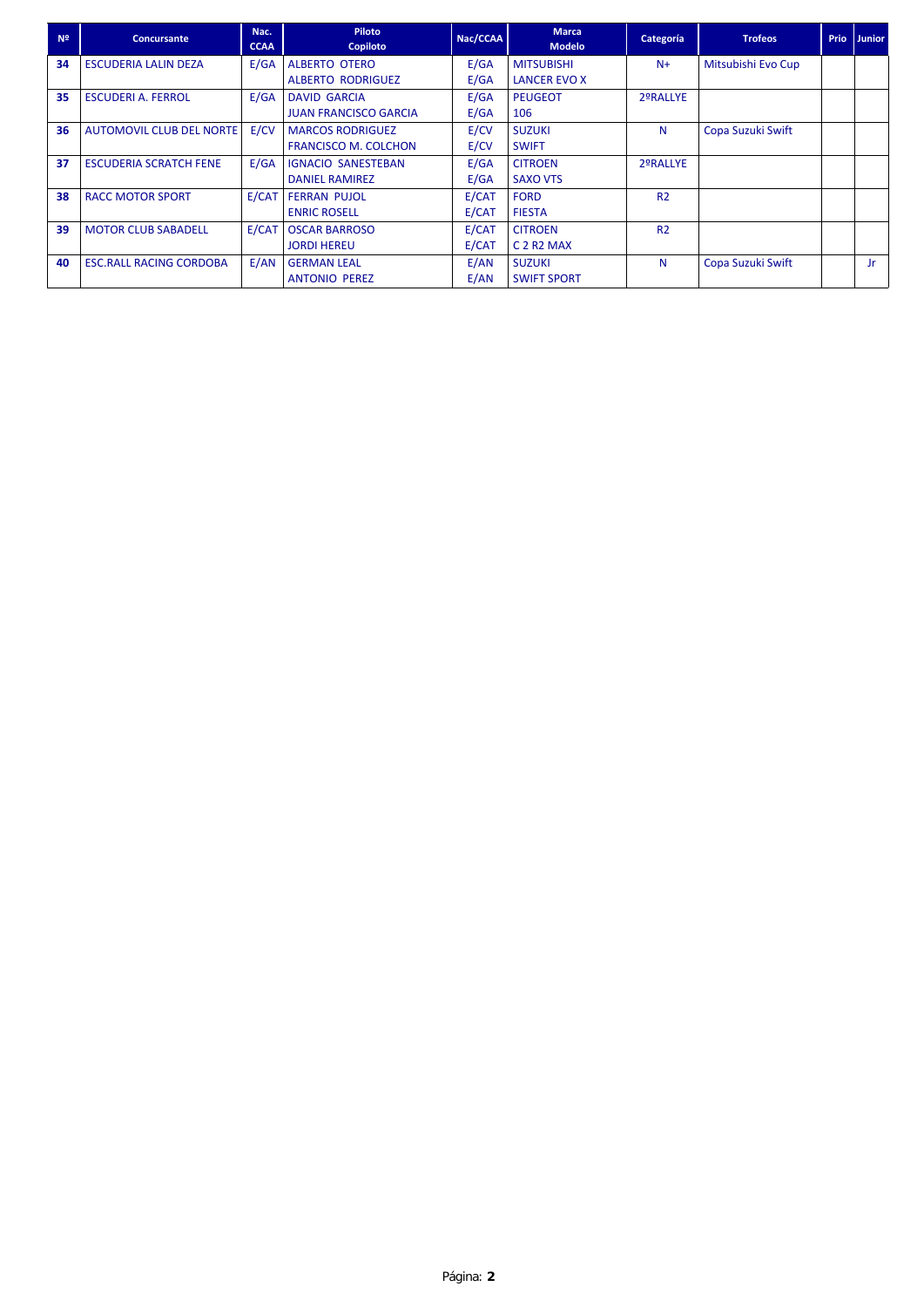| N <sup>2</sup> | <b>Concursante</b>              | Nac.<br><b>CCAA</b> | Piloto<br><b>Copiloto</b>    | Nac/CCAA | <b>Marca</b><br><b>Modelo</b>                 | Categoría      | <b>Trofeos</b>     | <b>Prio</b> | <b>Junior</b> |
|----------------|---------------------------------|---------------------|------------------------------|----------|-----------------------------------------------|----------------|--------------------|-------------|---------------|
| 34             | <b>ESCUDERIA LALIN DEZA</b>     | E/GA                | ALBERTO OTERO                | E/GA     | <b>MITSUBISHI</b>                             | $N+$           | Mitsubishi Evo Cup |             |               |
|                |                                 |                     | <b>ALBERTO RODRIGUEZ</b>     | E/GA     | <b>LANCER EVO X</b>                           |                |                    |             |               |
| 35             | <b>ESCUDERI A. FERROL</b>       | E/GA                | <b>DAVID GARCIA</b>          | E/GA     | <b>PEUGEOT</b>                                | 2ºRALLYE       |                    |             |               |
|                |                                 |                     | <b>JUAN FRANCISCO GARCIA</b> | E/GA     | 106                                           |                |                    |             |               |
| 36             | <b>AUTOMOVIL CLUB DEL NORTE</b> | E/CV                | <b>MARCOS RODRIGUEZ</b>      | E/CV     | <b>SUZUKI</b>                                 | N              | Copa Suzuki Swift  |             |               |
|                |                                 |                     | <b>FRANCISCO M. COLCHON</b>  | E/CV     | <b>SWIFT</b>                                  |                |                    |             |               |
| 37             | <b>ESCUDERIA SCRATCH FENE</b>   | E/GA                | <b>IGNACIO SANESTEBAN</b>    | E/GA     | <b>CITROEN</b>                                | 2ºRALLYE       |                    |             |               |
|                |                                 |                     | <b>DANIEL RAMIREZ</b>        | E/GA     | <b>SAXO VTS</b>                               |                |                    |             |               |
| 38             | <b>RACC MOTOR SPORT</b>         | E/CAT               | <b>FERRAN PUJOL</b>          | E/CAT    | <b>FORD</b>                                   | R <sub>2</sub> |                    |             |               |
|                |                                 |                     | <b>ENRIC ROSELL</b>          | E/CAT    | <b>FIESTA</b>                                 |                |                    |             |               |
| 39             | <b>MOTOR CLUB SABADELL</b>      | E/CAT               | <b>OSCAR BARROSO</b>         | E/CAT    | <b>CITROEN</b>                                | R <sub>2</sub> |                    |             |               |
|                |                                 |                     | <b>JORDI HEREU</b>           | E/CAT    | C <sub>2</sub> R <sub>2</sub> M <sub>AX</sub> |                |                    |             |               |
| 40             | <b>ESC. RALL RACING CORDOBA</b> | E/AN                | <b>GERMAN LEAL</b>           | E/AN     | <b>SUZUKI</b>                                 | N              | Copa Suzuki Swift  |             | Jr            |
|                |                                 |                     | <b>ANTONIO PEREZ</b>         | E/AN     | <b>SWIFT SPORT</b>                            |                |                    |             |               |